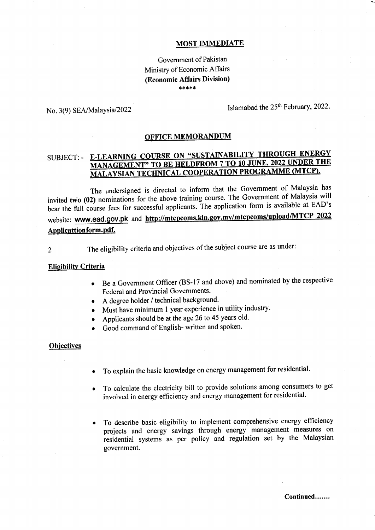## MOST IMMEDIATE

# Government of Pakistan Ministry of Economic Affairs (Economic Affairs Division) \*\*\*\*\*

No. 3(9) SEA/Malaysia/2022

Islamabad the 25<sup>th</sup> February, 2022.

### OFFICE MEMORANDUM

# SUBJECT: - E-LEARNING COURSE ON " MANAGEMENT TO BE MEDITION PROGRAMME (MTCP).

The undersigned is directed to inform that the Government of Malaysia has invited two (02) nominations for the above training course. The Government of Malaysia will bear the full course fees for successful applicants. The application form is available at EAD's website: www.ead.gov.pk and http://mtcpcoms.kln.gov.my/mtcpcoms/upload/MTCP 2022 Applicattion form. pdf.

2 The eligibility criteria and objectives of the subject course are as under:

#### Elisibilitv Criteria

- Be a Government Officer (BS-17 and above) and nominated by the respective Federal and Provincial Governments.
- o <sup>A</sup>degree holder / technical background.
- Must have minimum 1 year experience in utility industry.
- Applicants should be at the age 26 to 45 years old.
- . Good command of English- wriilen and spoken.

## **Objectives**

- To explain the basic knowledge on energy management.for residential. a
- To calculate the electricity bill to provide solutions among consumers to get involved in energy efficiency and energy management for residential. a
- To describe basic eligibility to implement comprehensive energy efficiency projects and energy savings through energy management measures on residential systems as per policy and regulation set by the Malaysian govemment. o